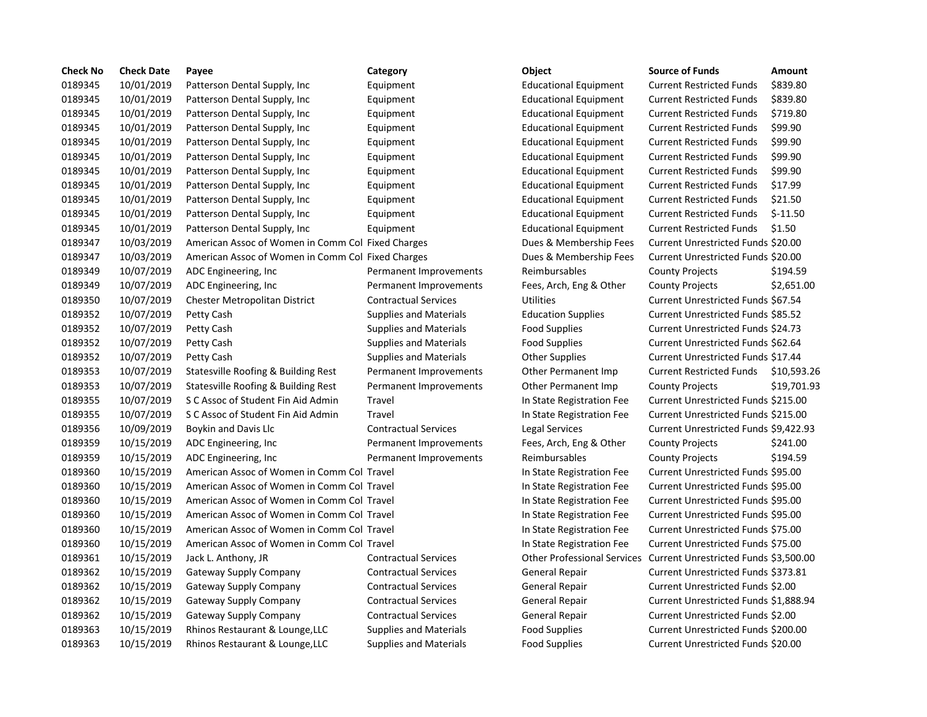| <b>Check No</b> | <b>Check Date</b> | Payee                                             | Category                      | Object                                                            | <b>Source of Funds</b>                    | Amount      |
|-----------------|-------------------|---------------------------------------------------|-------------------------------|-------------------------------------------------------------------|-------------------------------------------|-------------|
| 0189345         | 10/01/2019        | Patterson Dental Supply, Inc.                     | Equipment                     | <b>Educational Equipment</b>                                      | <b>Current Restricted Funds</b>           | \$839.80    |
| 0189345         | 10/01/2019        | Patterson Dental Supply, Inc.                     | Equipment                     | <b>Educational Equipment</b>                                      | <b>Current Restricted Funds</b>           | \$839.80    |
| 0189345         | 10/01/2019        | Patterson Dental Supply, Inc.                     | Equipment                     | <b>Educational Equipment</b>                                      | <b>Current Restricted Funds</b>           | \$719.80    |
| 0189345         | 10/01/2019        | Patterson Dental Supply, Inc.                     | Equipment                     | <b>Educational Equipment</b>                                      | <b>Current Restricted Funds</b>           | \$99.90     |
| 0189345         | 10/01/2019        | Patterson Dental Supply, Inc.                     | Equipment                     | <b>Educational Equipment</b>                                      | <b>Current Restricted Funds</b>           | \$99.90     |
| 0189345         | 10/01/2019        | Patterson Dental Supply, Inc.                     | Equipment                     | <b>Educational Equipment</b>                                      | <b>Current Restricted Funds</b>           | \$99.90     |
| 0189345         | 10/01/2019        | Patterson Dental Supply, Inc.                     | Equipment                     | <b>Educational Equipment</b>                                      | <b>Current Restricted Funds</b>           | \$99.90     |
| 0189345         | 10/01/2019        | Patterson Dental Supply, Inc.                     | Equipment                     | <b>Educational Equipment</b>                                      | <b>Current Restricted Funds</b>           | \$17.99     |
| 0189345         | 10/01/2019        | Patterson Dental Supply, Inc.                     | Equipment                     | <b>Educational Equipment</b>                                      | <b>Current Restricted Funds</b>           | \$21.50     |
| 0189345         | 10/01/2019        | Patterson Dental Supply, Inc.                     | Equipment                     | <b>Educational Equipment</b>                                      | <b>Current Restricted Funds</b>           | $$-11.50$   |
| 0189345         | 10/01/2019        | Patterson Dental Supply, Inc                      | Equipment                     | <b>Educational Equipment</b>                                      | <b>Current Restricted Funds</b>           | \$1.50      |
| 0189347         | 10/03/2019        | American Assoc of Women in Comm Col Fixed Charges |                               | Dues & Membership Fees                                            | <b>Current Unrestricted Funds \$20.00</b> |             |
| 0189347         | 10/03/2019        | American Assoc of Women in Comm Col Fixed Charges |                               | Dues & Membership Fees                                            | Current Unrestricted Funds \$20.00        |             |
| 0189349         | 10/07/2019        | ADC Engineering, Inc.                             | Permanent Improvements        | Reimbursables                                                     | <b>County Projects</b>                    | \$194.59    |
| 0189349         | 10/07/2019        | ADC Engineering, Inc.                             | Permanent Improvements        | Fees, Arch, Eng & Other                                           | <b>County Projects</b>                    | \$2,651.00  |
| 0189350         | 10/07/2019        | <b>Chester Metropolitan District</b>              | <b>Contractual Services</b>   | Utilities                                                         | Current Unrestricted Funds \$67.54        |             |
| 0189352         | 10/07/2019        | Petty Cash                                        | <b>Supplies and Materials</b> | <b>Education Supplies</b>                                         | Current Unrestricted Funds \$85.52        |             |
| 0189352         | 10/07/2019        | Petty Cash                                        | <b>Supplies and Materials</b> | <b>Food Supplies</b>                                              | Current Unrestricted Funds \$24.73        |             |
| 0189352         | 10/07/2019        | Petty Cash                                        | <b>Supplies and Materials</b> | <b>Food Supplies</b>                                              | Current Unrestricted Funds \$62.64        |             |
| 0189352         | 10/07/2019        | Petty Cash                                        | <b>Supplies and Materials</b> | <b>Other Supplies</b>                                             | Current Unrestricted Funds \$17.44        |             |
| 0189353         | 10/07/2019        | Statesville Roofing & Building Rest               | Permanent Improvements        | Other Permanent Imp                                               | <b>Current Restricted Funds</b>           | \$10,593.26 |
| 0189353         | 10/07/2019        | Statesville Roofing & Building Rest               | Permanent Improvements        | Other Permanent Imp                                               | <b>County Projects</b>                    | \$19,701.93 |
| 0189355         | 10/07/2019        | S C Assoc of Student Fin Aid Admin                | Travel                        | In State Registration Fee                                         | Current Unrestricted Funds \$215.00       |             |
| 0189355         | 10/07/2019        | S C Assoc of Student Fin Aid Admin                | Travel                        | In State Registration Fee                                         | Current Unrestricted Funds \$215.00       |             |
| 0189356         | 10/09/2019        | Boykin and Davis Llc                              | <b>Contractual Services</b>   | Legal Services                                                    | Current Unrestricted Funds \$9,422.93     |             |
| 0189359         | 10/15/2019        | ADC Engineering, Inc.                             | Permanent Improvements        | Fees, Arch, Eng & Other                                           | <b>County Projects</b>                    | \$241.00    |
| 0189359         | 10/15/2019        | ADC Engineering, Inc                              | Permanent Improvements        | Reimbursables                                                     | <b>County Projects</b>                    | \$194.59    |
| 0189360         | 10/15/2019        | American Assoc of Women in Comm Col Travel        |                               | In State Registration Fee                                         | Current Unrestricted Funds \$95.00        |             |
| 0189360         | 10/15/2019        | American Assoc of Women in Comm Col Travel        |                               | In State Registration Fee                                         | Current Unrestricted Funds \$95.00        |             |
| 0189360         | 10/15/2019        | American Assoc of Women in Comm Col Travel        |                               | In State Registration Fee                                         | Current Unrestricted Funds \$95.00        |             |
| 0189360         | 10/15/2019        | American Assoc of Women in Comm Col Travel        |                               | In State Registration Fee                                         | Current Unrestricted Funds \$95.00        |             |
| 0189360         | 10/15/2019        | American Assoc of Women in Comm Col Travel        |                               | In State Registration Fee                                         | Current Unrestricted Funds \$75.00        |             |
| 0189360         | 10/15/2019        | American Assoc of Women in Comm Col Travel        |                               | In State Registration Fee                                         | Current Unrestricted Funds \$75.00        |             |
| 0189361         | 10/15/2019        | Jack L. Anthony, JR                               | <b>Contractual Services</b>   | Other Professional Services Current Unrestricted Funds \$3,500.00 |                                           |             |
| 0189362         | 10/15/2019        | <b>Gateway Supply Company</b>                     | <b>Contractual Services</b>   | General Repair                                                    | Current Unrestricted Funds \$373.81       |             |
| 0189362         | 10/15/2019        | Gateway Supply Company                            | <b>Contractual Services</b>   | General Repair                                                    | Current Unrestricted Funds \$2.00         |             |
| 0189362         | 10/15/2019        | Gateway Supply Company                            | <b>Contractual Services</b>   | General Repair                                                    | Current Unrestricted Funds \$1,888.94     |             |
| 0189362         | 10/15/2019        | <b>Gateway Supply Company</b>                     | <b>Contractual Services</b>   | General Repair                                                    | Current Unrestricted Funds \$2.00         |             |
| 0189363         | 10/15/2019        | Rhinos Restaurant & Lounge, LLC                   | <b>Supplies and Materials</b> | Food Supplies                                                     | Current Unrestricted Funds \$200.00       |             |
| 0189363         | 10/15/2019        | Rhinos Restaurant & Lounge, LLC                   | <b>Supplies and Materials</b> | <b>Food Supplies</b>                                              | Current Unrestricted Funds \$20.00        |             |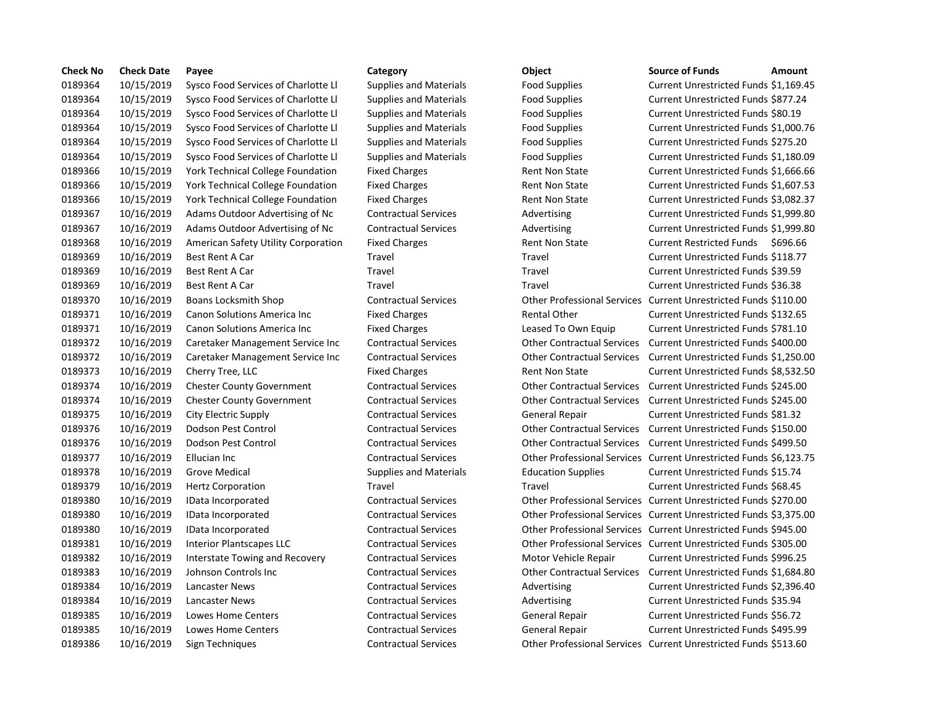| <b>Check No</b> | <b>Check Date</b> | Payee                                    | Category                      | Object                            | <b>Source of Funds</b><br>Amount                                 |
|-----------------|-------------------|------------------------------------------|-------------------------------|-----------------------------------|------------------------------------------------------------------|
| 0189364         | 10/15/2019        | Sysco Food Services of Charlotte Ll      | <b>Supplies and Materials</b> | <b>Food Supplies</b>              | Current Unrestricted Funds \$1,169.4                             |
| 0189364         | 10/15/2019        | Sysco Food Services of Charlotte Ll      | <b>Supplies and Materials</b> | <b>Food Supplies</b>              | Current Unrestricted Funds \$877.24                              |
| 0189364         | 10/15/2019        | Sysco Food Services of Charlotte Ll      | <b>Supplies and Materials</b> | Food Supplies                     | Current Unrestricted Funds \$80.19                               |
| 0189364         | 10/15/2019        | Sysco Food Services of Charlotte Ll      | <b>Supplies and Materials</b> | <b>Food Supplies</b>              | Current Unrestricted Funds \$1,000.7                             |
| 0189364         | 10/15/2019        | Sysco Food Services of Charlotte Ll      | <b>Supplies and Materials</b> | <b>Food Supplies</b>              | Current Unrestricted Funds \$275.20                              |
| 0189364         | 10/15/2019        | Sysco Food Services of Charlotte Ll      | <b>Supplies and Materials</b> | <b>Food Supplies</b>              | Current Unrestricted Funds \$1,180.0                             |
| 0189366         | 10/15/2019        | York Technical College Foundation        | <b>Fixed Charges</b>          | <b>Rent Non State</b>             | Current Unrestricted Funds \$1,666.6                             |
| 0189366         | 10/15/2019        | York Technical College Foundation        | <b>Fixed Charges</b>          | <b>Rent Non State</b>             | Current Unrestricted Funds \$1,607.5                             |
| 0189366         | 10/15/2019        | <b>York Technical College Foundation</b> | <b>Fixed Charges</b>          | <b>Rent Non State</b>             | Current Unrestricted Funds \$3,082.3                             |
| 0189367         | 10/16/2019        | Adams Outdoor Advertising of Nc          | <b>Contractual Services</b>   | Advertising                       | Current Unrestricted Funds \$1,999.8                             |
| 0189367         | 10/16/2019        | Adams Outdoor Advertising of Nc          | <b>Contractual Services</b>   | Advertising                       | Current Unrestricted Funds \$1,999.8                             |
| 0189368         | 10/16/2019        | American Safety Utility Corporation      | <b>Fixed Charges</b>          | <b>Rent Non State</b>             | <b>Current Restricted Funds</b><br>\$696.66                      |
| 0189369         | 10/16/2019        | <b>Best Rent A Car</b>                   | Travel                        | Travel                            | Current Unrestricted Funds \$118.77                              |
| 0189369         | 10/16/2019        | <b>Best Rent A Car</b>                   | Travel                        | Travel                            | Current Unrestricted Funds \$39.59                               |
| 0189369         | 10/16/2019        | <b>Best Rent A Car</b>                   | Travel                        | Travel                            | Current Unrestricted Funds \$36.38                               |
| 0189370         | 10/16/2019        | Boans Locksmith Shop                     | <b>Contractual Services</b>   |                                   | Other Professional Services Current Unrestricted Funds \$110.00  |
| 0189371         | 10/16/2019        | Canon Solutions America Inc              | <b>Fixed Charges</b>          | <b>Rental Other</b>               | Current Unrestricted Funds \$132.65                              |
| 0189371         | 10/16/2019        | <b>Canon Solutions America Inc</b>       | <b>Fixed Charges</b>          | Leased To Own Equip               | Current Unrestricted Funds \$781.10                              |
| 0189372         | 10/16/2019        | Caretaker Management Service Inc         | <b>Contractual Services</b>   | <b>Other Contractual Services</b> | Current Unrestricted Funds \$400.00                              |
| 0189372         | 10/16/2019        | Caretaker Management Service Inc         | <b>Contractual Services</b>   | <b>Other Contractual Services</b> | Current Unrestricted Funds \$1,250.0                             |
| 0189373         | 10/16/2019        | Cherry Tree, LLC                         | <b>Fixed Charges</b>          | <b>Rent Non State</b>             | Current Unrestricted Funds \$8,532.5                             |
| 0189374         | 10/16/2019        | <b>Chester County Government</b>         | <b>Contractual Services</b>   | <b>Other Contractual Services</b> | Current Unrestricted Funds \$245.00                              |
| 0189374         | 10/16/2019        | <b>Chester County Government</b>         | <b>Contractual Services</b>   |                                   | Other Contractual Services Current Unrestricted Funds \$245.00   |
| 0189375         | 10/16/2019        | City Electric Supply                     | <b>Contractual Services</b>   | <b>General Repair</b>             | Current Unrestricted Funds \$81.32                               |
| 0189376         | 10/16/2019        | Dodson Pest Control                      | <b>Contractual Services</b>   | <b>Other Contractual Services</b> | Current Unrestricted Funds \$150.00                              |
| 0189376         | 10/16/2019        | Dodson Pest Control                      | <b>Contractual Services</b>   | <b>Other Contractual Services</b> | Current Unrestricted Funds \$499.50                              |
| 0189377         | 10/16/2019        | Ellucian Inc                             | <b>Contractual Services</b>   |                                   | Other Professional Services Current Unrestricted Funds \$6,123.7 |
| 0189378         | 10/16/2019        | Grove Medical                            | <b>Supplies and Materials</b> | <b>Education Supplies</b>         | Current Unrestricted Funds \$15.74                               |
| 0189379         | 10/16/2019        | <b>Hertz Corporation</b>                 | Travel                        | Travel                            | Current Unrestricted Funds \$68.45                               |
| 0189380         | 10/16/2019        | IData Incorporated                       | <b>Contractual Services</b>   |                                   | Other Professional Services Current Unrestricted Funds \$270.00  |
| 0189380         | 10/16/2019        | IData Incorporated                       | <b>Contractual Services</b>   |                                   | Other Professional Services Current Unrestricted Funds \$3,375.0 |
| 0189380         | 10/16/2019        | IData Incorporated                       | <b>Contractual Services</b>   |                                   | Other Professional Services Current Unrestricted Funds \$945.00  |
| 0189381         | 10/16/2019        | Interior Plantscapes LLC                 | <b>Contractual Services</b>   |                                   | Other Professional Services Current Unrestricted Funds \$305.00  |
| 0189382         | 10/16/2019        | Interstate Towing and Recovery           | <b>Contractual Services</b>   | Motor Vehicle Repair              | Current Unrestricted Funds \$996.25                              |
| 0189383         | 10/16/2019        | Johnson Controls Inc                     | <b>Contractual Services</b>   |                                   | Other Contractual Services  Current Unrestricted Funds \$1,684.8 |
| 0189384         | 10/16/2019        | Lancaster News                           | <b>Contractual Services</b>   | Advertising                       | Current Unrestricted Funds \$2,396.4                             |
| 0189384         | 10/16/2019        | Lancaster News                           | <b>Contractual Services</b>   | Advertising                       | Current Unrestricted Funds \$35.94                               |
| 0189385         | 10/16/2019        | <b>Lowes Home Centers</b>                | <b>Contractual Services</b>   | <b>General Repair</b>             | Current Unrestricted Funds \$56.72                               |
| 0189385         | 10/16/2019        | Lowes Home Centers                       | <b>Contractual Services</b>   | <b>General Repair</b>             | Current Unrestricted Funds \$495.99                              |
| 0189386         | 10/16/2019        | Sign Techniques                          | <b>Contractual Services</b>   |                                   | Other Professional Services Current Unrestricted Funds \$513.60  |

## Supplies and Materials **Supplies of Charlotte Current Unrestricted Funds \$877.24** 0189364 10/15/2019 Sysco Food Services of Charlotte Ll Supplies and Materials Food Supplies Current Unrestricted Funds \$80.19 Supplies and Materials **Food Supplies Current Unrestricted Funds \$1,000.76** Supplies and Materials **Supplies of Charlotte Constructed Funds \$275.20** Current Unrestricted Funds \$275.20 0189364 10/15/2019 Sysco Food Services of Charlotte Ll Supplies and Materials Food Supplies Current Unrestricted Funds \$1,180.09 Fixed Charges Technical College Rent Non State Current Unrestricted Funds \$1,666.66 Fixed Charges Technical College Rent Non State Current Unrestricted Funds \$1,607.53 Fixed Charges Technical College Rent Non State Current Unrestricted Funds \$3,082.37 Contractual Services **Advertising Current Unrestricted Funds \$1,999.80** Contractual Services **Advertising Current Unrestricted Funds \$1,999.80** Fixed Charges **1018 Rent Non State** Current Restricted Funds \$696.66 0189369 10/16/2019 Best Rent A Car Travel Travel Current Unrestricted Funds \$118.77 Travel Travel **Travel** Best Rent A Current Unrestricted Funds \$39.59 0189369 10/16/2019 Best Rent A Car Travel Travel Current Unrestricted Funds \$36.38 0189370 10/16/2019 Boans Locksmith Shop Contractual Services Other Professional Services Current Unrestricted Funds \$110.00 Fixed Charges The Rental Other Current Unrestricted Funds \$132.65 Fixed Charges **Canon 2018** Leased To Own Equip Current Unrestricted Funds \$781.10 0189372 10/16/2019 Caretaker Management Service Inc Contractual Services Other Contractual Services Current Unrestricted Funds \$400.00 0189372 10/16/2019 Caretaker Management Service Inc Contractual Services Other Contractual Services Current Unrestricted Funds \$1,250.00 Fixed Charges Tree, Lucia and Tree, Lend Tree, Lucia and Current Unrestricted Funds \$8,532.50 0189374 10/16/2019 Chester County Government Contractual Services Other Contractual Services Current Unrestricted Funds \$245.00 0189374 10/16/2019 Chester County Government Contractual Services Other Contractual Services Current Unrestricted Funds \$245.00 0189375 10/16/2019 City Electric Supply Contractual Services General Repair Current Unrestricted Funds \$81.32 0189376 10/16/2019 Dodson Pest Control Contractual Services Other Contractual Services Current Unrestricted Funds \$150.00 0189376 10/16/2019 Dodson Pest Control Contractual Services Other Contractual Services Current Unrestricted Funds \$499.50 0189377 10/16/2019 Ellucian Inc Contractual Services Other Professional Services Current Unrestricted Funds \$6,123.75 Supplies and Materials **Education Supplies Current Unrestricted Funds \$15.74** 0189379 10/16/2019 Hertz Corporation Travel Travel Current Unrestricted Funds \$68.45 0189380 10/16/2019 IData Incorporated Contractual Services Other Professional Services Current Unrestricted Funds \$270.00 0189380 10/16/2019 IData Incorporated Contractual Services Other Professional Services Current Unrestricted Funds \$3,375.00 0189380 10/16/2019 IData Incorporated Contractual Services Other Professional Services Current Unrestricted Funds \$945.00 0189381 10/16/2019 Interior Plantscapes LLC Contractual Services Other Professional Services Current Unrestricted Funds \$305.00 0189382 10/16/2019 Interstate Towing and Recovery Contractual Services Motor Vehicle Repair Current Unrestricted Funds \$996.25 0189383 10/16/2019 Johnson Controls Inc Contractual Services Other Contractual Services Current Unrestricted Funds \$1,684.80 0189384 10/16/2019 Lancaster News Contractual Services Advertising Current Unrestricted Funds \$2,396.40 Contractual Services **1018 1018 1018 10018 10018 1003** Current Unrestricted Funds \$35.94 Contractual Services **1018 Centeral Repair** Current Unrestricted Funds \$56.72 0189385 10/16/2019 Lowes Home Centers Contractual Services General Repair Current Unrestricted Funds \$495.99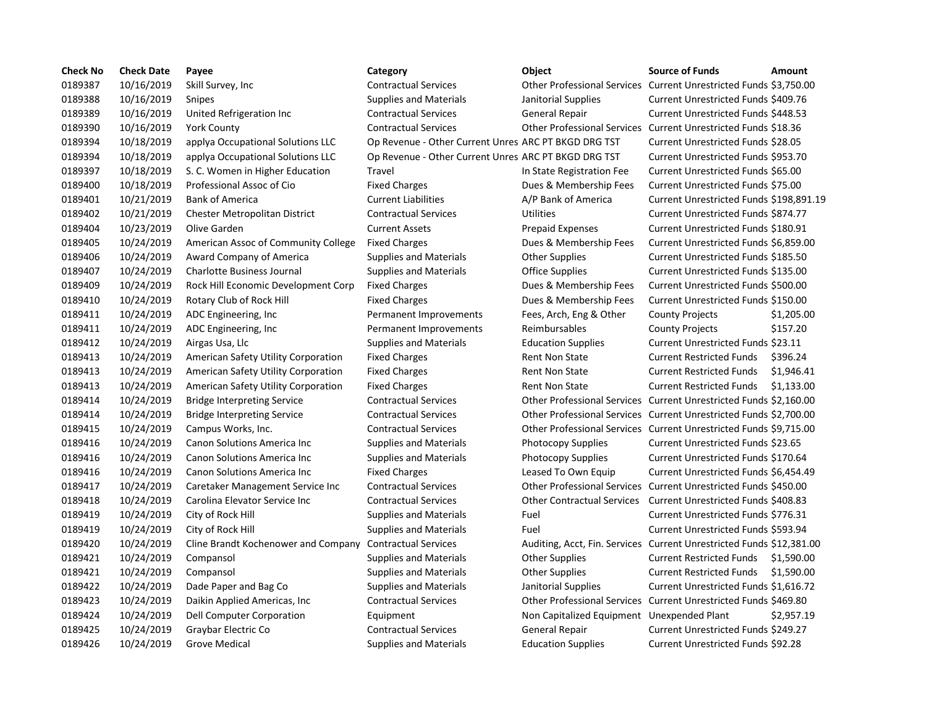| <b>Check No</b> | <b>Check Date</b> | Payee                               | Category                                             | <b>Object</b>                                                        | <b>Source of Funds</b>                                            | <b>Amount</b> |
|-----------------|-------------------|-------------------------------------|------------------------------------------------------|----------------------------------------------------------------------|-------------------------------------------------------------------|---------------|
| 0189387         | 10/16/2019        | Skill Survey, Inc.                  | <b>Contractual Services</b>                          |                                                                      | Other Professional Services Current Unrestricted Funds \$3,750.00 |               |
| 0189388         | 10/16/2019        | <b>Snipes</b>                       | <b>Supplies and Materials</b>                        | Janitorial Supplies                                                  | <b>Current Unrestricted Funds \$409.76</b>                        |               |
| 0189389         | 10/16/2019        | United Refrigeration Inc            | <b>Contractual Services</b>                          | <b>General Repair</b>                                                | Current Unrestricted Funds \$448.53                               |               |
| 0189390         | 10/16/2019        | <b>York County</b>                  | <b>Contractual Services</b>                          | Other Professional Services Current Unrestricted Funds \$18.36       |                                                                   |               |
| 0189394         | 10/18/2019        | applya Occupational Solutions LLC   | Op Revenue - Other Current Unres ARC PT BKGD DRG TST |                                                                      | Current Unrestricted Funds \$28.05                                |               |
| 0189394         | 10/18/2019        | applya Occupational Solutions LLC   | Op Revenue - Other Current Unres ARC PT BKGD DRG TST |                                                                      | Current Unrestricted Funds \$953.70                               |               |
| 0189397         | 10/18/2019        | S. C. Women in Higher Education     | Travel                                               | In State Registration Fee                                            | Current Unrestricted Funds \$65.00                                |               |
| 0189400         | 10/18/2019        | Professional Assoc of Cio           | <b>Fixed Charges</b>                                 | Dues & Membership Fees                                               | Current Unrestricted Funds \$75.00                                |               |
| 0189401         | 10/21/2019        | <b>Bank of America</b>              | <b>Current Liabilities</b>                           | A/P Bank of America                                                  | Current Unrestricted Funds \$198,891.19                           |               |
| 0189402         | 10/21/2019        | Chester Metropolitan District       | <b>Contractual Services</b>                          | Utilities                                                            | Current Unrestricted Funds \$874.77                               |               |
| 0189404         | 10/23/2019        | Olive Garden                        | <b>Current Assets</b>                                | <b>Prepaid Expenses</b>                                              | Current Unrestricted Funds \$180.91                               |               |
| 0189405         | 10/24/2019        | American Assoc of Community College | <b>Fixed Charges</b>                                 | Dues & Membership Fees                                               | Current Unrestricted Funds \$6,859.00                             |               |
| 0189406         | 10/24/2019        | Award Company of America            | <b>Supplies and Materials</b>                        | <b>Other Supplies</b>                                                | Current Unrestricted Funds \$185.50                               |               |
| 0189407         | 10/24/2019        | <b>Charlotte Business Journal</b>   | <b>Supplies and Materials</b>                        | <b>Office Supplies</b>                                               | Current Unrestricted Funds \$135.00                               |               |
| 0189409         | 10/24/2019        | Rock Hill Economic Development Corp | <b>Fixed Charges</b>                                 | Dues & Membership Fees                                               | Current Unrestricted Funds \$500.00                               |               |
| 0189410         | 10/24/2019        | Rotary Club of Rock Hill            | <b>Fixed Charges</b>                                 | Dues & Membership Fees                                               | Current Unrestricted Funds \$150.00                               |               |
| 0189411         | 10/24/2019        | ADC Engineering, Inc                | Permanent Improvements                               | Fees, Arch, Eng & Other                                              | <b>County Projects</b>                                            | \$1,205.00    |
| 0189411         | 10/24/2019        | ADC Engineering, Inc.               | Permanent Improvements                               | Reimbursables                                                        | <b>County Projects</b>                                            | \$157.20      |
| 0189412         | 10/24/2019        | Airgas Usa, Llc                     | <b>Supplies and Materials</b>                        | <b>Education Supplies</b>                                            | Current Unrestricted Funds \$23.11                                |               |
| 0189413         | 10/24/2019        | American Safety Utility Corporation | <b>Fixed Charges</b>                                 | <b>Rent Non State</b>                                                | <b>Current Restricted Funds</b>                                   | \$396.24      |
| 0189413         | 10/24/2019        | American Safety Utility Corporation | <b>Fixed Charges</b>                                 | <b>Rent Non State</b>                                                | <b>Current Restricted Funds</b>                                   | \$1,946.41    |
| 0189413         | 10/24/2019        | American Safety Utility Corporation | <b>Fixed Charges</b>                                 | <b>Rent Non State</b>                                                | <b>Current Restricted Funds</b>                                   | \$1,133.00    |
| 0189414         | 10/24/2019        | <b>Bridge Interpreting Service</b>  | <b>Contractual Services</b>                          | Other Professional Services Current Unrestricted Funds \$2,160.00    |                                                                   |               |
| 0189414         | 10/24/2019        | <b>Bridge Interpreting Service</b>  | <b>Contractual Services</b>                          | Other Professional Services Current Unrestricted Funds \$2,700.00    |                                                                   |               |
| 0189415         | 10/24/2019        | Campus Works, Inc.                  | <b>Contractual Services</b>                          | Other Professional Services Current Unrestricted Funds \$9,715.00    |                                                                   |               |
| 0189416         | 10/24/2019        | Canon Solutions America Inc         | <b>Supplies and Materials</b>                        | Photocopy Supplies                                                   | Current Unrestricted Funds \$23.65                                |               |
| 0189416         | 10/24/2019        | Canon Solutions America Inc         | <b>Supplies and Materials</b>                        | <b>Photocopy Supplies</b>                                            | Current Unrestricted Funds \$170.64                               |               |
| 0189416         | 10/24/2019        | Canon Solutions America Inc         | <b>Fixed Charges</b>                                 | Leased To Own Equip                                                  | Current Unrestricted Funds \$6,454.49                             |               |
| 0189417         | 10/24/2019        | Caretaker Management Service Inc    | <b>Contractual Services</b>                          | Other Professional Services Current Unrestricted Funds \$450.00      |                                                                   |               |
| 0189418         | 10/24/2019        | Carolina Elevator Service Inc       | <b>Contractual Services</b>                          | <b>Other Contractual Services</b>                                    | Current Unrestricted Funds \$408.83                               |               |
| 0189419         | 10/24/2019        | City of Rock Hill                   | <b>Supplies and Materials</b>                        | Fuel                                                                 | Current Unrestricted Funds \$776.31                               |               |
| 0189419         | 10/24/2019        | City of Rock Hill                   | <b>Supplies and Materials</b>                        | Fuel                                                                 | Current Unrestricted Funds \$593.94                               |               |
| 0189420         | 10/24/2019        | Cline Brandt Kochenower and Company | <b>Contractual Services</b>                          | Auditing, Acct, Fin. Services Current Unrestricted Funds \$12,381.00 |                                                                   |               |
| 0189421         | 10/24/2019        | Compansol                           | <b>Supplies and Materials</b>                        | <b>Other Supplies</b>                                                | <b>Current Restricted Funds</b>                                   | \$1,590.00    |
| 0189421         | 10/24/2019        | Compansol                           | <b>Supplies and Materials</b>                        | <b>Other Supplies</b>                                                | <b>Current Restricted Funds</b>                                   | \$1,590.00    |
| 0189422         | 10/24/2019        | Dade Paper and Bag Co               | <b>Supplies and Materials</b>                        | Janitorial Supplies                                                  | Current Unrestricted Funds \$1,616.72                             |               |
| 0189423         | 10/24/2019        | Daikin Applied Americas, Inc        | <b>Contractual Services</b>                          | Other Professional Services Current Unrestricted Funds \$469.80      |                                                                   |               |
| 0189424         | 10/24/2019        | Dell Computer Corporation           | Equipment                                            | Non Capitalized Equipment Unexpended Plant                           |                                                                   | \$2,957.19    |
| 0189425         | 10/24/2019        | Graybar Electric Co                 | <b>Contractual Services</b>                          | General Repair                                                       | Current Unrestricted Funds \$249.27                               |               |
| 0189426         | 10/24/2019        | <b>Grove Medical</b>                | <b>Supplies and Materials</b>                        | <b>Education Supplies</b>                                            | <b>Current Unrestricted Funds \$92.28</b>                         |               |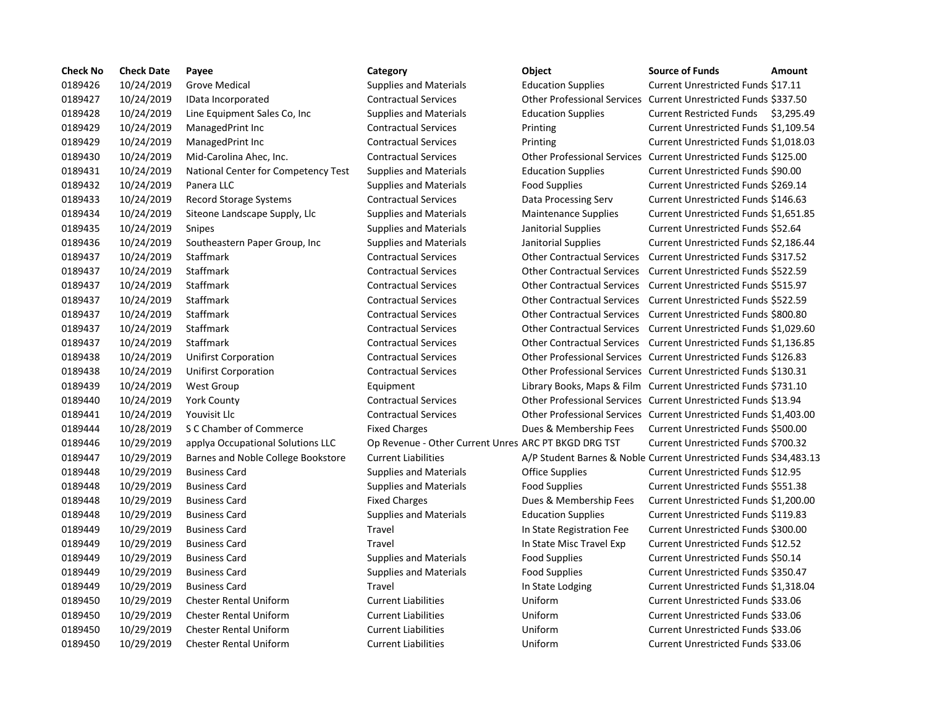| <b>Check No</b> | <b>Check Date</b> | Payee                               | Category                                             | Object                             | <b>Source of Funds</b><br>Amount                                  |
|-----------------|-------------------|-------------------------------------|------------------------------------------------------|------------------------------------|-------------------------------------------------------------------|
| 0189426         | 10/24/2019        | <b>Grove Medical</b>                | <b>Supplies and Materials</b>                        | <b>Education Supplies</b>          | Current Unrestricted Funds \$17.11                                |
| 0189427         | 10/24/2019        | IData Incorporated                  | <b>Contractual Services</b>                          | <b>Other Professional Services</b> | Current Unrestricted Funds \$337.50                               |
| 0189428         | 10/24/2019        | Line Equipment Sales Co, Inc.       | <b>Supplies and Materials</b>                        | <b>Education Supplies</b>          | Current Restricted Funds \$3,295.49                               |
| 0189429         | 10/24/2019        | ManagedPrint Inc                    | <b>Contractual Services</b>                          | Printing                           | Current Unrestricted Funds \$1,109.54                             |
| 0189429         | 10/24/2019        | ManagedPrint Inc                    | <b>Contractual Services</b>                          | Printing                           | Current Unrestricted Funds \$1,018.03                             |
| 0189430         | 10/24/2019        | Mid-Carolina Ahec, Inc.             | <b>Contractual Services</b>                          | <b>Other Professional Services</b> | Current Unrestricted Funds \$125.00                               |
| 0189431         | 10/24/2019        | National Center for Competency Test | <b>Supplies and Materials</b>                        | <b>Education Supplies</b>          | Current Unrestricted Funds \$90.00                                |
| 0189432         | 10/24/2019        | Panera LLC                          | <b>Supplies and Materials</b>                        | <b>Food Supplies</b>               | Current Unrestricted Funds \$269.14                               |
| 0189433         | 10/24/2019        | <b>Record Storage Systems</b>       | <b>Contractual Services</b>                          | Data Processing Serv               | Current Unrestricted Funds \$146.63                               |
| 0189434         | 10/24/2019        | Siteone Landscape Supply, Llc       | <b>Supplies and Materials</b>                        | Maintenance Supplies               | Current Unrestricted Funds \$1,651.85                             |
| 0189435         | 10/24/2019        | Snipes                              | <b>Supplies and Materials</b>                        | Janitorial Supplies                | Current Unrestricted Funds \$52.64                                |
| 0189436         | 10/24/2019        | Southeastern Paper Group, Inc.      | <b>Supplies and Materials</b>                        | Janitorial Supplies                | Current Unrestricted Funds \$2,186.44                             |
| 0189437         | 10/24/2019        | Staffmark                           | <b>Contractual Services</b>                          | <b>Other Contractual Services</b>  | Current Unrestricted Funds \$317.52                               |
| 0189437         | 10/24/2019        | <b>Staffmark</b>                    | <b>Contractual Services</b>                          | <b>Other Contractual Services</b>  | Current Unrestricted Funds \$522.59                               |
| 0189437         | 10/24/2019        | <b>Staffmark</b>                    | <b>Contractual Services</b>                          |                                    | Other Contractual Services Current Unrestricted Funds \$515.97    |
| 0189437         | 10/24/2019        | Staffmark                           | <b>Contractual Services</b>                          |                                    | Other Contractual Services Current Unrestricted Funds \$522.59    |
| 0189437         | 10/24/2019        | <b>Staffmark</b>                    | <b>Contractual Services</b>                          |                                    | Other Contractual Services Current Unrestricted Funds \$800.80    |
| 0189437         | 10/24/2019        | <b>Staffmark</b>                    | <b>Contractual Services</b>                          |                                    | Other Contractual Services Current Unrestricted Funds \$1,029.60  |
| 0189437         | 10/24/2019        | <b>Staffmark</b>                    | <b>Contractual Services</b>                          |                                    | Other Contractual Services Current Unrestricted Funds \$1,136.85  |
| 0189438         | 10/24/2019        | <b>Unifirst Corporation</b>         | <b>Contractual Services</b>                          |                                    | Other Professional Services Current Unrestricted Funds \$126.83   |
| 0189438         | 10/24/2019        | <b>Unifirst Corporation</b>         | <b>Contractual Services</b>                          |                                    | Other Professional Services Current Unrestricted Funds \$130.31   |
| 0189439         | 10/24/2019        | West Group                          | Equipment                                            |                                    | Library Books, Maps & Film Current Unrestricted Funds \$731.10    |
| 0189440         | 10/24/2019        | York County                         | <b>Contractual Services</b>                          |                                    | Other Professional Services Current Unrestricted Funds \$13.94    |
| 0189441         | 10/24/2019        | Youvisit Llc                        | <b>Contractual Services</b>                          |                                    | Other Professional Services Current Unrestricted Funds \$1,403.00 |
| 0189444         | 10/28/2019        | S C Chamber of Commerce             | <b>Fixed Charges</b>                                 | Dues & Membership Fees             | Current Unrestricted Funds \$500.00                               |
| 0189446         | 10/29/2019        | applya Occupational Solutions LLC   | Op Revenue - Other Current Unres ARC PT BKGD DRG TST |                                    | Current Unrestricted Funds \$700.32                               |
| 0189447         | 10/29/2019        | Barnes and Noble College Bookstore  | <b>Current Liabilities</b>                           |                                    | A/P Student Barnes & Noble Current Unrestricted Funds \$34,483.13 |
| 0189448         | 10/29/2019        | <b>Business Card</b>                | <b>Supplies and Materials</b>                        | <b>Office Supplies</b>             | Current Unrestricted Funds \$12.95                                |
| 0189448         | 10/29/2019        | <b>Business Card</b>                | <b>Supplies and Materials</b>                        | <b>Food Supplies</b>               | Current Unrestricted Funds \$551.38                               |
| 0189448         | 10/29/2019        | <b>Business Card</b>                | <b>Fixed Charges</b>                                 | Dues & Membership Fees             | Current Unrestricted Funds \$1,200.00                             |
| 0189448         | 10/29/2019        | <b>Business Card</b>                | <b>Supplies and Materials</b>                        | <b>Education Supplies</b>          | Current Unrestricted Funds \$119.83                               |
| 0189449         | 10/29/2019        | <b>Business Card</b>                | Travel                                               | In State Registration Fee          | Current Unrestricted Funds \$300.00                               |
| 0189449         | 10/29/2019        | <b>Business Card</b>                | Travel                                               | In State Misc Travel Exp           | Current Unrestricted Funds \$12.52                                |
| 0189449         | 10/29/2019        | <b>Business Card</b>                | <b>Supplies and Materials</b>                        | <b>Food Supplies</b>               | Current Unrestricted Funds \$50.14                                |
| 0189449         | 10/29/2019        | <b>Business Card</b>                | <b>Supplies and Materials</b>                        | <b>Food Supplies</b>               | Current Unrestricted Funds \$350.47                               |
| 0189449         | 10/29/2019        | <b>Business Card</b>                | Travel                                               | In State Lodging                   | Current Unrestricted Funds \$1,318.04                             |
| 0189450         | 10/29/2019        | <b>Chester Rental Uniform</b>       | <b>Current Liabilities</b>                           | Uniform                            | Current Unrestricted Funds \$33.06                                |
| 0189450         | 10/29/2019        | <b>Chester Rental Uniform</b>       | <b>Current Liabilities</b>                           | Uniform                            | Current Unrestricted Funds \$33.06                                |
| 0189450         | 10/29/2019        | <b>Chester Rental Uniform</b>       | <b>Current Liabilities</b>                           | Uniform                            | Current Unrestricted Funds \$33.06                                |
| 0189450         | 10/29/2019        | <b>Chester Rental Uniform</b>       | <b>Current Liabilities</b>                           | Uniform                            | Current Unrestricted Funds \$33.06                                |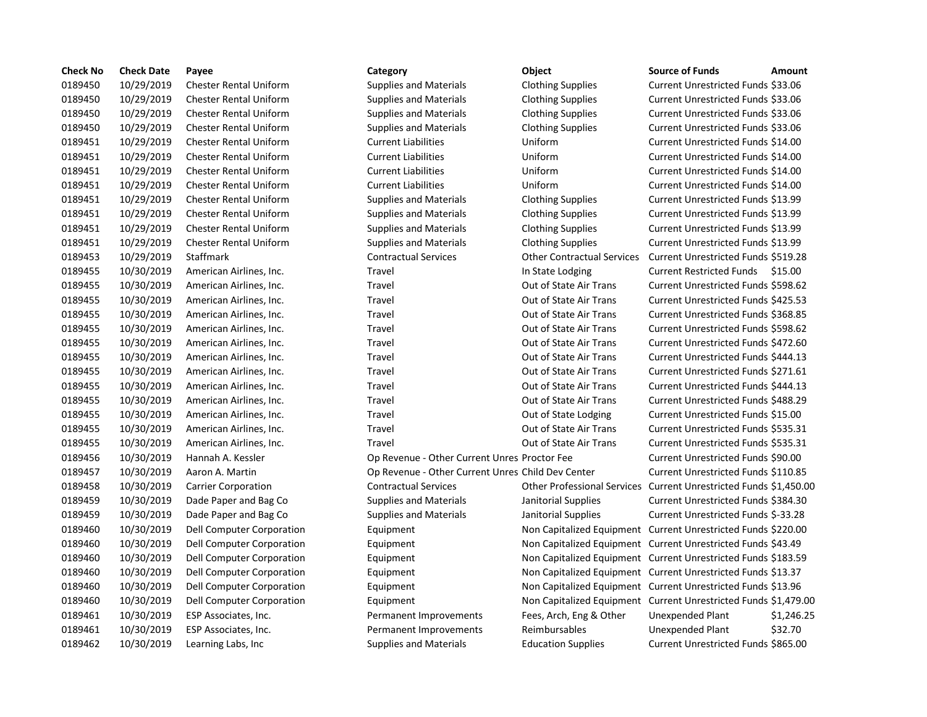| <b>Check No</b> | <b>Check Date</b> | Payee                            | Category                                          | Object                                                           | <b>Source of Funds</b>                                        | Amount    |
|-----------------|-------------------|----------------------------------|---------------------------------------------------|------------------------------------------------------------------|---------------------------------------------------------------|-----------|
| 0189450         | 10/29/2019        | <b>Chester Rental Uniform</b>    | <b>Supplies and Materials</b>                     | <b>Clothing Supplies</b>                                         | Current Unrestricted Funds \$33.06                            |           |
| 0189450         | 10/29/2019        | <b>Chester Rental Uniform</b>    | <b>Supplies and Materials</b>                     | <b>Clothing Supplies</b>                                         | Current Unrestricted Funds \$33.06                            |           |
| 0189450         | 10/29/2019        | <b>Chester Rental Uniform</b>    | <b>Supplies and Materials</b>                     | <b>Clothing Supplies</b>                                         | Current Unrestricted Funds \$33.06                            |           |
| 0189450         | 10/29/2019        | <b>Chester Rental Uniform</b>    | <b>Supplies and Materials</b>                     | <b>Clothing Supplies</b>                                         | Current Unrestricted Funds \$33.06                            |           |
| 0189451         | 10/29/2019        | <b>Chester Rental Uniform</b>    | <b>Current Liabilities</b>                        | Uniform                                                          | Current Unrestricted Funds \$14.00                            |           |
| 0189451         | 10/29/2019        | <b>Chester Rental Uniform</b>    | <b>Current Liabilities</b>                        | Uniform                                                          | Current Unrestricted Funds \$14.00                            |           |
| 0189451         | 10/29/2019        | <b>Chester Rental Uniform</b>    | <b>Current Liabilities</b>                        | Uniform                                                          | Current Unrestricted Funds \$14.00                            |           |
| 0189451         | 10/29/2019        | <b>Chester Rental Uniform</b>    | <b>Current Liabilities</b>                        | Uniform                                                          | Current Unrestricted Funds \$14.00                            |           |
| 0189451         | 10/29/2019        | <b>Chester Rental Uniform</b>    | <b>Supplies and Materials</b>                     | <b>Clothing Supplies</b>                                         | Current Unrestricted Funds \$13.99                            |           |
| 0189451         | 10/29/2019        | <b>Chester Rental Uniform</b>    | <b>Supplies and Materials</b>                     | <b>Clothing Supplies</b>                                         | Current Unrestricted Funds \$13.99                            |           |
| 0189451         | 10/29/2019        | <b>Chester Rental Uniform</b>    | <b>Supplies and Materials</b>                     | <b>Clothing Supplies</b>                                         | Current Unrestricted Funds \$13.99                            |           |
| 0189451         | 10/29/2019        | <b>Chester Rental Uniform</b>    | <b>Supplies and Materials</b>                     | <b>Clothing Supplies</b>                                         | Current Unrestricted Funds \$13.99                            |           |
| 0189453         | 10/29/2019        | Staffmark                        | <b>Contractual Services</b>                       | <b>Other Contractual Services</b>                                | Current Unrestricted Funds \$519.28                           |           |
| 0189455         | 10/30/2019        | American Airlines, Inc.          | Travel                                            | In State Lodging                                                 | <b>Current Restricted Funds</b>                               | \$15.00   |
| 0189455         | 10/30/2019        | American Airlines, Inc.          | Travel                                            | Out of State Air Trans                                           | Current Unrestricted Funds \$598.62                           |           |
| 0189455         | 10/30/2019        | American Airlines, Inc.          | Travel                                            | Out of State Air Trans                                           | Current Unrestricted Funds \$425.53                           |           |
| 0189455         | 10/30/2019        | American Airlines, Inc.          | Travel                                            | Out of State Air Trans                                           | Current Unrestricted Funds \$368.85                           |           |
| 0189455         | 10/30/2019        | American Airlines, Inc.          | Travel                                            | Out of State Air Trans                                           | Current Unrestricted Funds \$598.62                           |           |
| 0189455         | 10/30/2019        | American Airlines, Inc.          | Travel                                            | Out of State Air Trans                                           | Current Unrestricted Funds \$472.60                           |           |
| 0189455         | 10/30/2019        | American Airlines, Inc.          | Travel                                            | Out of State Air Trans                                           | Current Unrestricted Funds \$444.13                           |           |
| 0189455         | 10/30/2019        | American Airlines, Inc.          | Travel                                            | Out of State Air Trans                                           | Current Unrestricted Funds \$271.61                           |           |
| 0189455         | 10/30/2019        | American Airlines, Inc.          | Travel                                            | Out of State Air Trans                                           | Current Unrestricted Funds \$444.13                           |           |
| 0189455         | 10/30/2019        | American Airlines, Inc.          | Travel                                            | Out of State Air Trans                                           | Current Unrestricted Funds \$488.29                           |           |
| 0189455         | 10/30/2019        | American Airlines, Inc.          | Travel                                            | Out of State Lodging                                             | Current Unrestricted Funds \$15.00                            |           |
| 0189455         | 10/30/2019        | American Airlines, Inc.          | Travel                                            | Out of State Air Trans                                           | Current Unrestricted Funds \$535.31                           |           |
| 0189455         | 10/30/2019        | American Airlines, Inc.          | Travel                                            | Out of State Air Trans                                           | Current Unrestricted Funds \$535.31                           |           |
| 0189456         | 10/30/2019        | Hannah A. Kessler                | Op Revenue - Other Current Unres Proctor Fee      |                                                                  | Current Unrestricted Funds \$90.00                            |           |
| 0189457         | 10/30/2019        | Aaron A. Martin                  | Op Revenue - Other Current Unres Child Dev Center |                                                                  | Current Unrestricted Funds \$110.85                           |           |
| 0189458         | 10/30/2019        | <b>Carrier Corporation</b>       | <b>Contractual Services</b>                       | Other Professional Services Current Unrestricted Funds \$1,450.0 |                                                               |           |
| 0189459         | 10/30/2019        | Dade Paper and Bag Co            | <b>Supplies and Materials</b>                     | Janitorial Supplies                                              | Current Unrestricted Funds \$384.30                           |           |
| 0189459         | 10/30/2019        | Dade Paper and Bag Co            | <b>Supplies and Materials</b>                     | Janitorial Supplies                                              | Current Unrestricted Funds \$-33.28                           |           |
| 0189460         | 10/30/2019        | Dell Computer Corporation        | Equipment                                         | Non Capitalized Equipment Current Unrestricted Funds \$220.00    |                                                               |           |
| 0189460         | 10/30/2019        | Dell Computer Corporation        | Equipment                                         |                                                                  | Non Capitalized Equipment Current Unrestricted Funds \$43.49  |           |
| 0189460         | 10/30/2019        | Dell Computer Corporation        | Equipment                                         | Non Capitalized Equipment Current Unrestricted Funds \$183.59    |                                                               |           |
| 0189460         | 10/30/2019        | Dell Computer Corporation        | Equipment                                         |                                                                  | Non Capitalized Equipment Current Unrestricted Funds \$13.37  |           |
| 0189460         | 10/30/2019        | Dell Computer Corporation        | Equipment                                         | Non Capitalized Equipment Current Unrestricted Funds \$13.96     |                                                               |           |
| 0189460         | 10/30/2019        | <b>Dell Computer Corporation</b> | Equipment                                         |                                                                  | Non Capitalized Equipment Current Unrestricted Funds \$1,479. |           |
| 0189461         | 10/30/2019        | ESP Associates, Inc.             | Permanent Improvements                            | Fees, Arch, Eng & Other                                          | Unexpended Plant                                              | \$1,246.2 |
| 0189461         | 10/30/2019        | ESP Associates, Inc.             | Permanent Improvements                            | Reimbursables                                                    | <b>Unexpended Plant</b>                                       | \$32.70   |
| 0189462         | 10/30/2019        | Learning Labs, Inc               | <b>Supplies and Materials</b>                     | <b>Education Supplies</b>                                        | Current Unrestricted Funds \$865.00                           |           |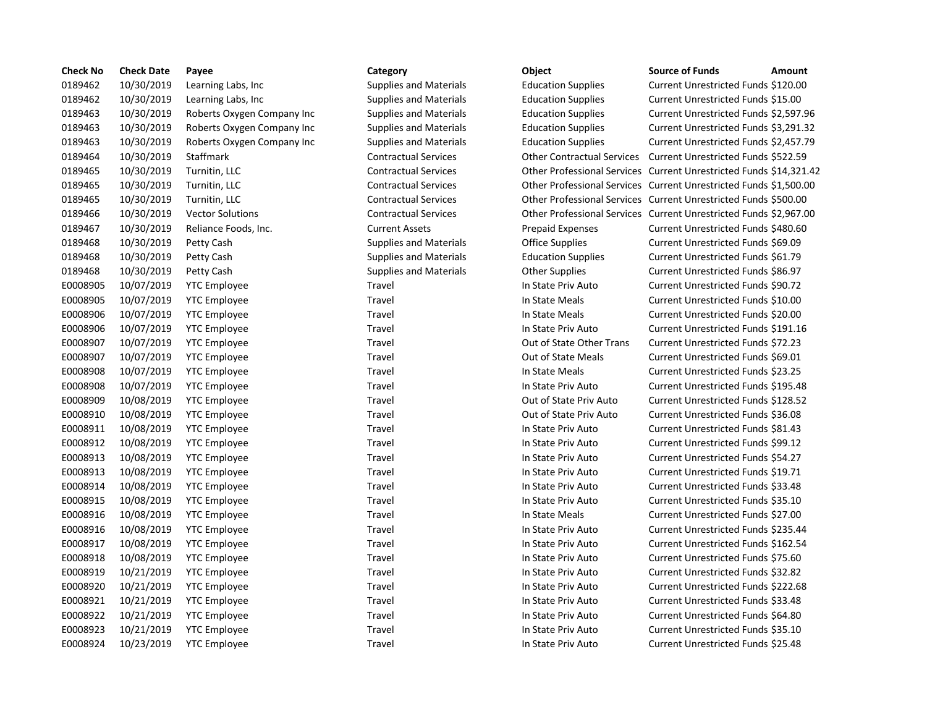| <b>Check No</b> | <b>Check Date</b> | Payee                      | Category                      | Object                            | <b>Source of Funds</b><br>Amount                                 |
|-----------------|-------------------|----------------------------|-------------------------------|-----------------------------------|------------------------------------------------------------------|
| 0189462         | 10/30/2019        | Learning Labs, Inc         | <b>Supplies and Materials</b> | <b>Education Supplies</b>         | Current Unrestricted Funds \$120.00                              |
| 0189462         | 10/30/2019        | Learning Labs, Inc.        | <b>Supplies and Materials</b> | <b>Education Supplies</b>         | Current Unrestricted Funds \$15.00                               |
| 0189463         | 10/30/2019        | Roberts Oxygen Company Inc | <b>Supplies and Materials</b> | <b>Education Supplies</b>         | Current Unrestricted Funds \$2,597.9                             |
| 0189463         | 10/30/2019        | Roberts Oxygen Company Inc | <b>Supplies and Materials</b> | <b>Education Supplies</b>         | Current Unrestricted Funds \$3,291.3                             |
| 0189463         | 10/30/2019        | Roberts Oxygen Company Inc | <b>Supplies and Materials</b> | <b>Education Supplies</b>         | Current Unrestricted Funds \$2,457.7                             |
| 0189464         | 10/30/2019        | Staffmark                  | <b>Contractual Services</b>   | <b>Other Contractual Services</b> | Current Unrestricted Funds \$522.59                              |
| 0189465         | 10/30/2019        | Turnitin, LLC              | <b>Contractual Services</b>   |                                   | Other Professional Services Current Unrestricted Funds \$14,321  |
| 0189465         | 10/30/2019        | Turnitin, LLC              | <b>Contractual Services</b>   |                                   | Other Professional Services Current Unrestricted Funds \$1,500.0 |
| 0189465         | 10/30/2019        | Turnitin, LLC              | <b>Contractual Services</b>   |                                   | Other Professional Services Current Unrestricted Funds \$500.00  |
| 0189466         | 10/30/2019        | <b>Vector Solutions</b>    | <b>Contractual Services</b>   |                                   | Other Professional Services Current Unrestricted Funds \$2,967.  |
| 0189467         | 10/30/2019        | Reliance Foods, Inc.       | <b>Current Assets</b>         | <b>Prepaid Expenses</b>           | Current Unrestricted Funds \$480.60                              |
| 0189468         | 10/30/2019        | Petty Cash                 | <b>Supplies and Materials</b> | Office Supplies                   | Current Unrestricted Funds \$69.09                               |
| 0189468         | 10/30/2019        | Petty Cash                 | <b>Supplies and Materials</b> | <b>Education Supplies</b>         | Current Unrestricted Funds \$61.79                               |
| 0189468         | 10/30/2019        | Petty Cash                 | <b>Supplies and Materials</b> | <b>Other Supplies</b>             | Current Unrestricted Funds \$86.97                               |
| E0008905        | 10/07/2019        | <b>YTC Employee</b>        | Travel                        | In State Priv Auto                | Current Unrestricted Funds \$90.72                               |
| E0008905        | 10/07/2019        | <b>YTC Employee</b>        | Travel                        | In State Meals                    | Current Unrestricted Funds \$10.00                               |
| E0008906        | 10/07/2019        | <b>YTC Employee</b>        | Travel                        | In State Meals                    | Current Unrestricted Funds \$20.00                               |
| E0008906        | 10/07/2019        | <b>YTC Employee</b>        | Travel                        | In State Priv Auto                | Current Unrestricted Funds \$191.16                              |
| E0008907        | 10/07/2019        | <b>YTC Employee</b>        | Travel                        | Out of State Other Trans          | Current Unrestricted Funds \$72.23                               |
| E0008907        | 10/07/2019        | <b>YTC Employee</b>        | Travel                        | Out of State Meals                | Current Unrestricted Funds \$69.01                               |
| E0008908        | 10/07/2019        | <b>YTC Employee</b>        | Travel                        | In State Meals                    | Current Unrestricted Funds \$23.25                               |
| E0008908        | 10/07/2019        | <b>YTC Employee</b>        | Travel                        | In State Priv Auto                | Current Unrestricted Funds \$195.48                              |
| E0008909        | 10/08/2019        | <b>YTC Employee</b>        | Travel                        | Out of State Priv Auto            | Current Unrestricted Funds \$128.52                              |
| E0008910        | 10/08/2019        | <b>YTC Employee</b>        | Travel                        | Out of State Priv Auto            | Current Unrestricted Funds \$36.08                               |
| E0008911        | 10/08/2019        | <b>YTC Employee</b>        | Travel                        | In State Priv Auto                | <b>Current Unrestricted Funds \$81.43</b>                        |
| E0008912        | 10/08/2019        | <b>YTC Employee</b>        | Travel                        | In State Priv Auto                | Current Unrestricted Funds \$99.12                               |
| E0008913        | 10/08/2019        | <b>YTC Employee</b>        | Travel                        | In State Priv Auto                | Current Unrestricted Funds \$54.27                               |
| E0008913        | 10/08/2019        | <b>YTC Employee</b>        | Travel                        | In State Priv Auto                | Current Unrestricted Funds \$19.71                               |
| E0008914        | 10/08/2019        | <b>YTC Employee</b>        | Travel                        | In State Priv Auto                | Current Unrestricted Funds \$33.48                               |
| E0008915        | 10/08/2019        | <b>YTC Employee</b>        | Travel                        | In State Priv Auto                | Current Unrestricted Funds \$35.10                               |
| E0008916        | 10/08/2019        | <b>YTC Employee</b>        | Travel                        | In State Meals                    | Current Unrestricted Funds \$27.00                               |
| E0008916        | 10/08/2019        | <b>YTC Employee</b>        | Travel                        | In State Priv Auto                | Current Unrestricted Funds \$235.44                              |
| E0008917        | 10/08/2019        | <b>YTC Employee</b>        | Travel                        | In State Priv Auto                | Current Unrestricted Funds \$162.54                              |
| E0008918        | 10/08/2019        | <b>YTC Employee</b>        | Travel                        | In State Priv Auto                | Current Unrestricted Funds \$75.60                               |
| E0008919        | 10/21/2019        | <b>YTC Employee</b>        | Travel                        | In State Priv Auto                | <b>Current Unrestricted Funds \$32.82</b>                        |
| E0008920        | 10/21/2019        | <b>YTC Employee</b>        | Travel                        | In State Priv Auto                | Current Unrestricted Funds \$222.68                              |
| E0008921        | 10/21/2019        | <b>YTC Employee</b>        | Travel                        | In State Priv Auto                | Current Unrestricted Funds \$33.48                               |
| E0008922        | 10/21/2019        | <b>YTC Employee</b>        | Travel                        | In State Priv Auto                | Current Unrestricted Funds \$64.80                               |
| E0008923        | 10/21/2019        | <b>YTC Employee</b>        | Travel                        | In State Priv Auto                | Current Unrestricted Funds \$35.10                               |
| E0008924        | 10/23/2019        | <b>YTC Employee</b>        | Travel                        | In State Priv Auto                | <b>Current Unrestricted Funds \$25.48</b>                        |